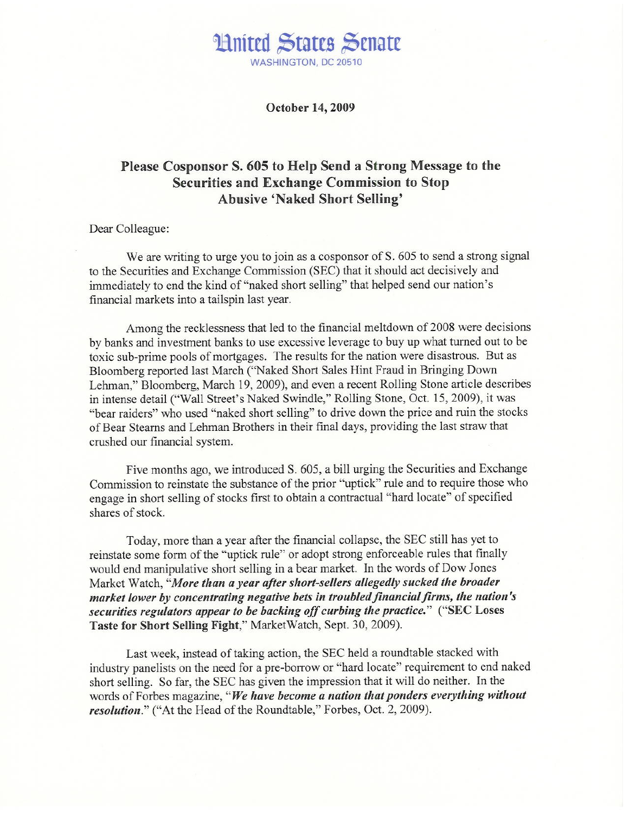### **Hnited States Senate** WASHINGTON, DC 20510

October 14, 2009

### Please Cosponsor S. 605 to Help Send a Strong Message to the **Securities and Exchange Commission to Stop Abusive 'Naked Short Selling'**

#### Dear Colleague:

We are writing to urge you to join as a cosponsor of S. 605 to send a strong signal to the Securities and Exchange Commission (SEC) that it should act decisively and immediately to end the kind of "naked short selling" that helped send our nation's financial markets into a tailspin last year.

Among the recklessness that led to the financial meltdown of 2008 were decisions by banks and investment banks to use excessive leverage to buy up what turned out to be toxic sub-prime pools of mortgages. The results for the nation were disastrous. But as Bloomberg reported last March ("Naked Short Sales Hint Fraud in Bringing Down Lehman," Bloomberg, March 19, 2009), and even a recent Rolling Stone article describes in intense detail ("Wall Street's Naked Swindle," Rolling Stone, Oct. 15, 2009), it was "bear raiders" who used "naked short selling" to drive down the price and ruin the stocks of Bear Stearns and Lehman Brothers in their final days, providing the last straw that crushed our financial system.

Five months ago, we introduced S. 605, a bill urging the Securities and Exchange Commission to reinstate the substance of the prior "uptick" rule and to require those who engage in short selling of stocks first to obtain a contractual "hard locate" of specified shares of stock.

Today, more than a year after the financial collapse, the SEC still has yet to reinstate some form of the "uptick rule" or adopt strong enforceable rules that finally would end manipulative short selling in a bear market. In the words of Dow Jones Market Watch, "More than a year after short-sellers allegedly sucked the broader market lower by concentrating negative bets in troubled financial firms, the nation's securities regulators appear to be backing off curbing the practice." ("SEC Loses Taste for Short Selling Fight," Market Watch, Sept. 30, 2009).

Last week, instead of taking action, the SEC held a roundtable stacked with industry panelists on the need for a pre-borrow or "hard locate" requirement to end naked short selling. So far, the SEC has given the impression that it will do neither. In the words of Forbes magazine, "We have become a nation that ponders everything without resolution." ("At the Head of the Roundtable," Forbes, Oct. 2, 2009).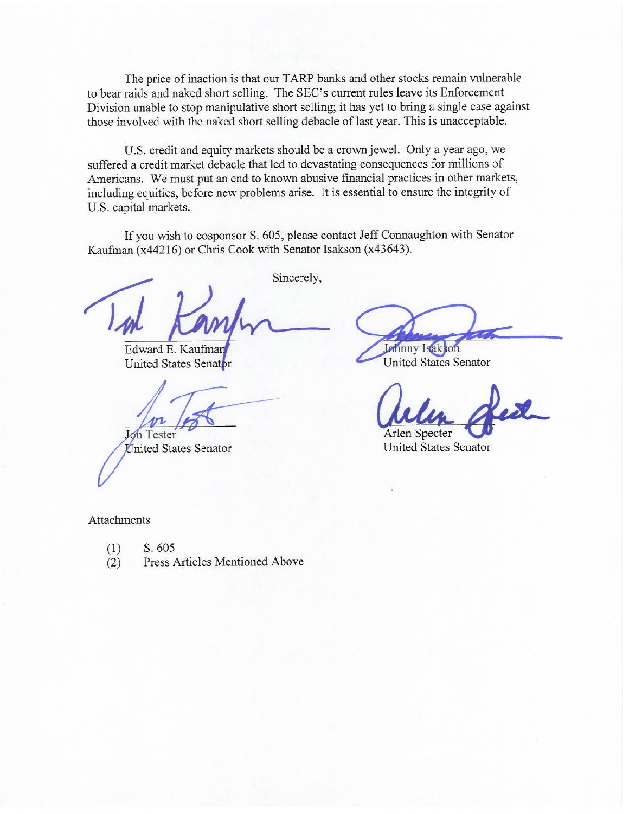The price of inaction is that our TARP banks and other stocks remain vulnerable to bear raids and naked short selling. The SEC's current rules leave its Enforcement Division unable to stop manipulative short selling; it has yet to bring a single case against those involved with the naked short selling debacle of last year. This is unacceptable.

U.S. credit and equity markets should be a crown jewel. Only a year ago, we suffered a credit market debacle that led to devastating consequences for millions of Americans. We must put an end to known abusive financial practices in other markets, including equities, before new problems arise. It is essential to ensure the integrity of U.S. capital markets.

If you wish to cosponsor S. 605, please contact Jeff Connaughton with Senator Kaufman (x44216) or Chris Cook with Senator Isakson (x43643).

Sincerely,

Edward E. Kaufmar **United States Senator** 

Jon Tester

United States Senator

Johnny Isakson

**United States Senator** 

Arlen Specter

**United States Senator** 

Attachments

- $(1)$ S. 605
- Press Articles Mentioned Above  $(2)$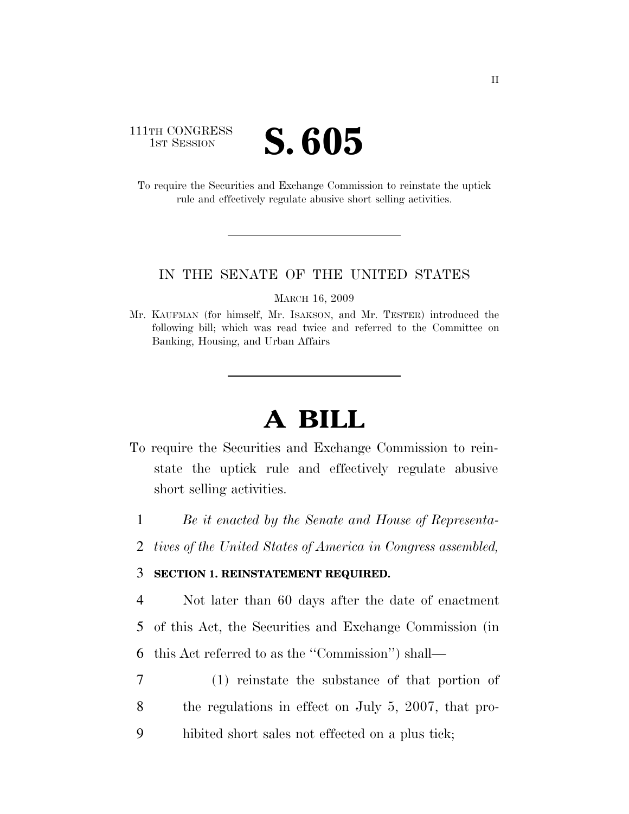### 111TH CONGRESS **IST SESSION S. 605**

To require the Securities and Exchange Commission to reinstate the uptick rule and effectively regulate abusive short selling activities.

#### IN THE SENATE OF THE UNITED STATES

MARCH 16, 2009

Mr. KAUFMAN (for himself, Mr. ISAKSON, and Mr. TESTER) introduced the following bill; which was read twice and referred to the Committee on Banking, Housing, and Urban Affairs

# **A BILL**

- To require the Securities and Exchange Commission to reinstate the uptick rule and effectively regulate abusive short selling activities.
	- 1 *Be it enacted by the Senate and House of Representa-*
	- 2 *tives of the United States of America in Congress assembled,*

#### 3 **SECTION 1. REINSTATEMENT REQUIRED.**

4 Not later than 60 days after the date of enactment 5 of this Act, the Securities and Exchange Commission (in 6 this Act referred to as the ''Commission'') shall—

7 (1) reinstate the substance of that portion of 8 the regulations in effect on July 5, 2007, that pro-9 hibited short sales not effected on a plus tick;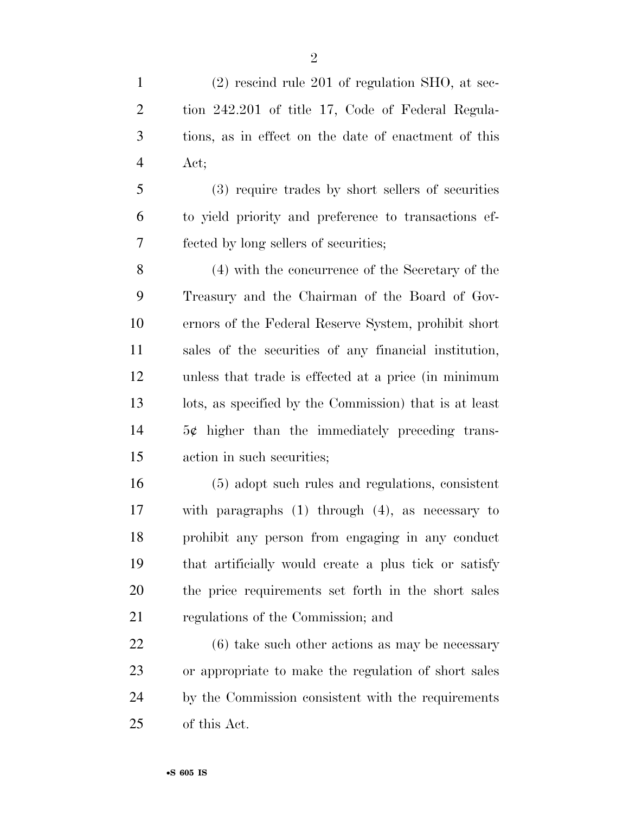(2) rescind rule 201 of regulation SHO, at sec- tion 242.201 of title 17, Code of Federal Regula- tions, as in effect on the date of enactment of this Act;

 (3) require trades by short sellers of securities to yield priority and preference to transactions ef-fected by long sellers of securities;

 (4) with the concurrence of the Secretary of the Treasury and the Chairman of the Board of Gov- ernors of the Federal Reserve System, prohibit short sales of the securities of any financial institution, unless that trade is effected at a price (in minimum lots, as specified by the Commission) that is at least 5¢ higher than the immediately preceding trans-action in such securities;

 (5) adopt such rules and regulations, consistent with paragraphs (1) through (4), as necessary to prohibit any person from engaging in any conduct that artificially would create a plus tick or satisfy the price requirements set forth in the short sales regulations of the Commission; and

 (6) take such other actions as may be necessary or appropriate to make the regulation of short sales by the Commission consistent with the requirements of this Act.